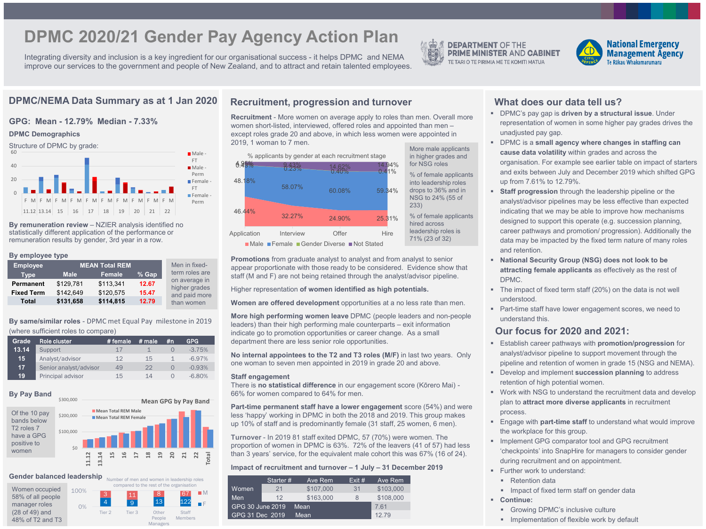# **DPMC 2020/21 Gender Pay Agency Action Plan**

Integrating diversity and inclusion is a key ingredient for our organisational success - it helps DPMC and NEMA improve our services to the government and people of New Zealand, and to attract and retain talented employees.



**DEPARTMENT OF THE PRIME MINISTER AND CABINET** TE TARI O TE PIRIMIA ME TE KOMITI MATUA



# **GPG: Mean - 12.79% Median - 7.33%**

#### **DPMC Demographics**



**By remuneration review** – NZIER analysis identified no statistically different application of the performance or remuneration results by gender, 3rd year in a row.

#### **By employee type**

| <b>Employee</b>   |             | <b>MEAN Total REM</b> |       | Men in fixed-                  |
|-------------------|-------------|-----------------------|-------|--------------------------------|
| <b>Type</b>       | <b>Male</b> | Female                | % Gap | term roles are                 |
| <b>Permanent</b>  | \$129,781   | \$113,341             | 12.67 | on average in<br>higher grades |
| <b>Fixed Term</b> | \$142,649   | \$120,575             | 15.47 | and paid more                  |
| <b>Total</b>      | \$131,658   | \$114,815             | 12.79 | than women                     |

**By same/similar roles** - DPMC met Equal Pay milestone in 2019 (where sufficient roles to compare)

| Grade | Role cluster           | ∖# female ' | $#$ male | #n | <b>GPG</b> |
|-------|------------------------|-------------|----------|----|------------|
| 13.14 | Support                | 17          |          |    | $-3.75%$   |
| 15    | Analyst/advisor        | 12          | 15       |    | $-6.97%$   |
| 17    | Senior analyst/advisor | 49          | 22       |    | $-0.93%$   |
| 19    | Principal advisor      | 15          | 14       |    | $-6.80%$   |

### **By Pay Band**

**Mean GPG by Pay Band**

4 9 13 122 3 11 8 67

compared to the rest of the organisation

People Managers

**Staff** Members  $\blacksquare$ F

Tier 2 Tier 3 Other



#### **Gender balanced leadership** Number of men and women in leadership roles

0%

100%

\$300,000



# DPMC/NEMA Data Summary as at 1 Jan 2020 Recruitment, progression and turnover What does our data tell us?

**Recruitment** - More women on average apply to roles than men. Overall more women short-listed, interviewed, offered roles and appointed than men – except roles grade 20 and above, in which less women were appointed in 2019, 1 woman to 7 men.



**Promotions** from graduate analyst to analyst and from analyst to senior appear proportionate with those ready to be considered. Evidence show that staff (M and F) are not being retained through the analyst/advisor pipeline.

Higher representation **of women identified as high potentials.**

**Women are offered development** opportunities at a no less rate than men.

**More high performing women leave** DPMC (people leaders and non-people leaders) than their high performing male counterparts – exit information indicate go to promotion opportunities or career change. As a small department there are less senior role opportunities.

**No internal appointees to the T2 and T3 roles (M/F)** in last two years. Only one woman to seven men appointed in 2019 in grade 20 and above.

### **Staff engagement**

There is **no statistical difference** in our engagement score (Kōrero Mai) - 66% for women compared to 64% for men.

**Part-time permanent staff have a lower engagement** score (54%) and were less 'happy' working in DPMC in both the 2018 and 2019. This group makes up 10% of staff and is predominantly female (31 staff, 25 women, 6 men).

**Turnover** - In 2019 81 staff exited DPMC, 57 (70%) were women. The proportion of women in DPMC is 63%. 72% of the leavers (41 of 57) had less than 3 years' service, for the equivalent male cohort this was 67% (16 of 24).

### **Impact of recruitment and turnover – 1 July – 31 December 2019**

|                  | Starter# | Ave Rem   | Exit # | Ave Rem   |
|------------------|----------|-----------|--------|-----------|
| Women            | 21       | \$107,000 | 31     | \$103,000 |
| Men              | 12       | \$163,000 |        | \$108,000 |
| GPG 30 June 2019 |          | Mean      |        | 7.61      |
| GPG 31 Dec 2019  |          | Mean      |        | 12.79     |

- DPMC's pay gap is **driven by a structural issue**. Under representation of women in some higher pay grades drives the unadjusted pay gap.
- DPMC is a **small agency where changes in staffing can cause data volatility** within grades and across the organisation. For example see earlier table on impact of starters and exits between July and December 2019 which shifted GPG up from 7.61% to 12.79%.
- **Staff progression** through the leadership pipeline or the analyst/advisor pipelines may be less effective than expected indicating that we may be able to improve how mechanisms designed to support this operate (e.g. succession planning, career pathways and promotion/ progression). Additionally the data may be impacted by the fixed term nature of many roles and retention.
- **National Security Group (NSG) does not look to be attracting female applicants** as effectively as the rest of DPMC.
- The impact of fixed term staff (20%) on the data is not well understood.
- iortunities at a no less rate trian men.<br>■ Part-time staff have lower engagement scores, we need to<br>DPMC (people leaders and non-people understand this.

# **Our focus for 2020 and 2021:**

- Establish career pathways with **promotion/progression** for analyst/advisor pipeline to support movement through the pipeline and retention of women in grade 15 (NSG and NEMA).
- Develop and implement **succession planning** to address retention of high potential women.
- Work with NSG to understand the recruitment data and develop plan to **attract more diverse applicants** in recruitment process.
- Engage with **part-time staff** to understand what would improve the workplace for this group.
- **Implement GPG comparator tool and GPG recruitment** 'checkpoints' into SnapHire for managers to consider gender during recruitment and on appointment.
- Further work to understand:
	- Retention data
	- **IMPACT OF FIXED THE IMP STAFF OF STAFF INCR**
- **Continue:**
	- **Growing DPMC's inclusive culture**
	- **Implementation of flexible work by default**